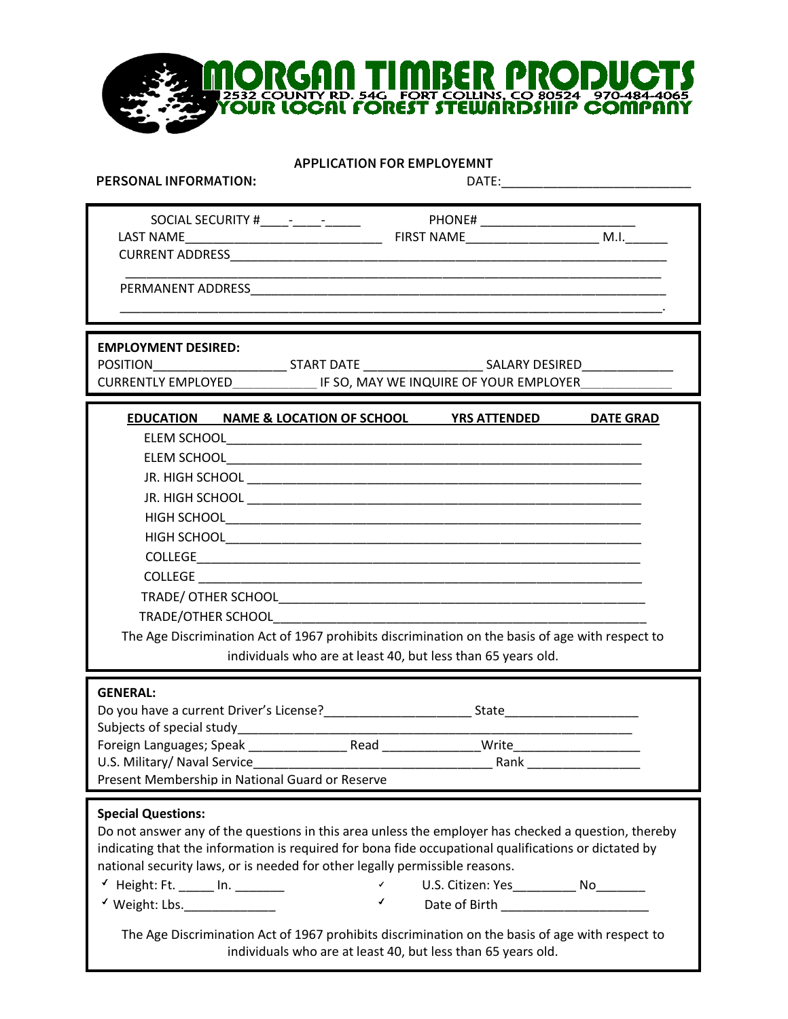**APPLICATION FOR EMPLOYEMNT** 

 $\overline{\mathbb{I}}$ 

**NORGAN TIMBER PRODUCTS**<br>Yöür local förest stewarbstille company

rs

| <b>PERSONAL INFORMATION:</b>                                                                                                     |                                                                                                                                                                                                                                                                                                                                                                                                                                                                 |                  |
|----------------------------------------------------------------------------------------------------------------------------------|-----------------------------------------------------------------------------------------------------------------------------------------------------------------------------------------------------------------------------------------------------------------------------------------------------------------------------------------------------------------------------------------------------------------------------------------------------------------|------------------|
| <b>LAST NAME</b>                                                                                                                 |                                                                                                                                                                                                                                                                                                                                                                                                                                                                 |                  |
|                                                                                                                                  | <u> 1980 - Jan James James James James James James James James James James James James James James James James J</u>                                                                                                                                                                                                                                                                                                                                            |                  |
| <b>EMPLOYMENT DESIRED:</b>                                                                                                       | POSITION________________________________START DATE _____________________________SALARY DESIRED_______________<br>CURRENTLY EMPLOYED THE SO, MAY WE INQUIRE OF YOUR EMPLOYER                                                                                                                                                                                                                                                                                     |                  |
|                                                                                                                                  | EDUCATION NAME & LOCATION OF SCHOOL YRS ATTENDED<br>The Age Discrimination Act of 1967 prohibits discrimination on the basis of age with respect to<br>individuals who are at least 40, but less than 65 years old.                                                                                                                                                                                                                                             | <b>DATE GRAD</b> |
| <b>GENERAL:</b><br>Subjects of special study <b>Subjects</b> of special study<br>Present Membership in National Guard or Reserve | Do you have a current Driver's License? Same State State State State State State State State State State State State State State State State State State State State State State State State State State State State State Sta                                                                                                                                                                                                                                  |                  |
| <b>Special Questions:</b><br>Height: Ft. ______ In. _______<br>Weight: Lbs.                                                      | Do not answer any of the questions in this area unless the employer has checked a question, thereby<br>indicating that the information is required for bona fide occupational qualifications or dictated by<br>national security laws, or is needed for other legally permissible reasons.<br>$\mathcal{L}$<br>U.S. Citizen: Yes_____________ No______<br>¥.<br>The Age Discrimination Act of 1967 prohibits discrimination on the basis of age with respect to |                  |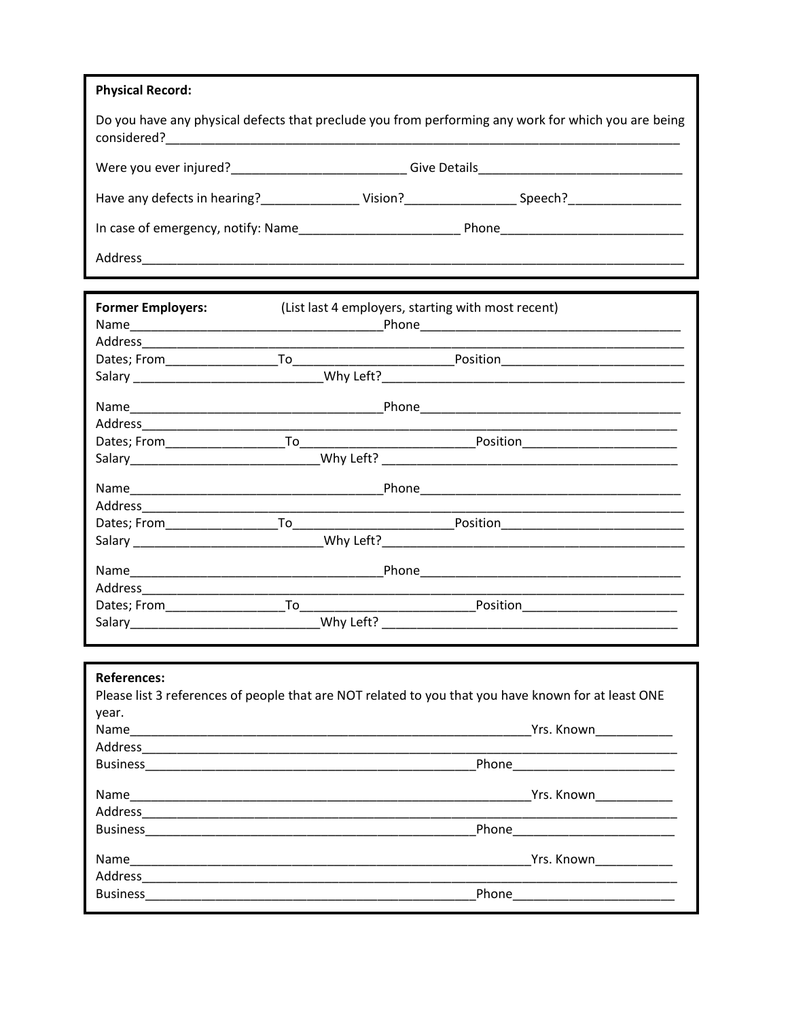| <b>Physical Record:</b>                                  |                                                                                                                                                                                                                                |
|----------------------------------------------------------|--------------------------------------------------------------------------------------------------------------------------------------------------------------------------------------------------------------------------------|
|                                                          | Do you have any physical defects that preclude you from performing any work for which you are being                                                                                                                            |
| Were you ever injured?<br><u> Were you ever injured?</u> | Give Details <b>Container and Container and Container</b> and Container                                                                                                                                                        |
| Have any defects in hearing? Vision?                     | Speech? And the state of the state of the state of the state of the state of the state of the state of the state of the state of the state of the state of the state of the state of the state of the state of the state of th |
|                                                          |                                                                                                                                                                                                                                |
| Address                                                  |                                                                                                                                                                                                                                |

| <b>Former Employers:</b>         | (List last 4 employers, starting with most recent)                                                  |  |  |
|----------------------------------|-----------------------------------------------------------------------------------------------------|--|--|
|                                  |                                                                                                     |  |  |
|                                  |                                                                                                     |  |  |
|                                  |                                                                                                     |  |  |
|                                  |                                                                                                     |  |  |
|                                  |                                                                                                     |  |  |
|                                  |                                                                                                     |  |  |
|                                  |                                                                                                     |  |  |
|                                  |                                                                                                     |  |  |
|                                  |                                                                                                     |  |  |
| Address_________________________ |                                                                                                     |  |  |
|                                  |                                                                                                     |  |  |
|                                  |                                                                                                     |  |  |
|                                  |                                                                                                     |  |  |
|                                  |                                                                                                     |  |  |
|                                  |                                                                                                     |  |  |
|                                  |                                                                                                     |  |  |
|                                  |                                                                                                     |  |  |
| <b>References:</b>               |                                                                                                     |  |  |
|                                  | Please list 3 references of people that are NOT related to you that you have known for at least ONE |  |  |
| year.                            |                                                                                                     |  |  |
|                                  |                                                                                                     |  |  |
|                                  |                                                                                                     |  |  |
|                                  |                                                                                                     |  |  |
|                                  |                                                                                                     |  |  |
|                                  |                                                                                                     |  |  |
|                                  |                                                                                                     |  |  |
|                                  |                                                                                                     |  |  |
|                                  |                                                                                                     |  |  |
|                                  |                                                                                                     |  |  |
|                                  |                                                                                                     |  |  |